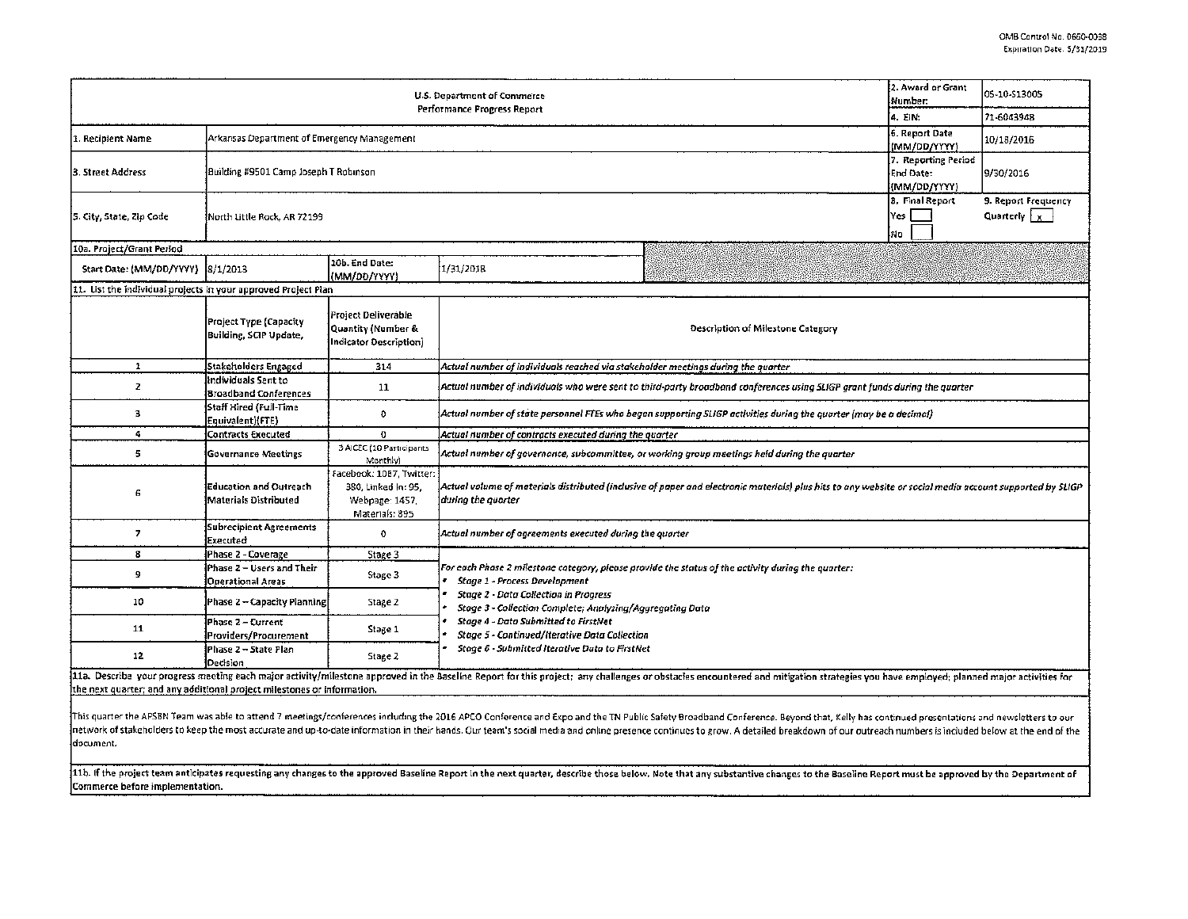| <b>U.S. Department of Commerce</b>                                                                                                                                                                                                                                                                        |                                                               |                                                                                     |                                                                                                                                                                                                                                                                                                                                                                                                                                                                                                                                                                                                                                                                                                                                                                                                                                                                                                 |  | 2. Award or Grant                   | 05-10-513005                         |  |
|-----------------------------------------------------------------------------------------------------------------------------------------------------------------------------------------------------------------------------------------------------------------------------------------------------------|---------------------------------------------------------------|-------------------------------------------------------------------------------------|-------------------------------------------------------------------------------------------------------------------------------------------------------------------------------------------------------------------------------------------------------------------------------------------------------------------------------------------------------------------------------------------------------------------------------------------------------------------------------------------------------------------------------------------------------------------------------------------------------------------------------------------------------------------------------------------------------------------------------------------------------------------------------------------------------------------------------------------------------------------------------------------------|--|-------------------------------------|--------------------------------------|--|
|                                                                                                                                                                                                                                                                                                           |                                                               |                                                                                     | Number:<br>Performance Progress Report<br>4. EIN:<br>(MM/DD/YYYY)<br>End Date:<br>Yes I<br>No<br>1/31/2018<br>Description of Milestone Category<br>Actual number of individuals reached via stakeholder meetings during the quarter<br>Actual number of state personnel FTEs who began supporting SLIGP activities during the quorter (may be a decimal)<br>Actual number of contracts executed during the quarter<br>Actual number of governance, subcommittee, or working group meetings held during the quarter<br>during the quarter<br>Actual number of agreements executed during the quarter<br>For each Phase 2 milestone category, please provide the status of the activity during the quarter:<br>Stage 1 - Process Development<br><b>Stage 2 - Data Collection in Progress</b><br>Stage 3 - Collection Complete; Analyzing/Aggregating Data<br>Stage 4 - Data Submitted to FirstNet |  | 71-6043948                          |                                      |  |
| 1. Recipient Name                                                                                                                                                                                                                                                                                         | Arkansas Department of Emergency Management                   |                                                                                     |                                                                                                                                                                                                                                                                                                                                                                                                                                                                                                                                                                                                                                                                                                                                                                                                                                                                                                 |  | 6. Report Date                      | 10/18/2016                           |  |
| 3. Street Address                                                                                                                                                                                                                                                                                         | Building #9501 Camp Joseph T Robinson                         |                                                                                     |                                                                                                                                                                                                                                                                                                                                                                                                                                                                                                                                                                                                                                                                                                                                                                                                                                                                                                 |  | 7. Reporting Period<br>(MM/DD/YYYY) | 9/30/2016                            |  |
| 5. City, State, Zip Code                                                                                                                                                                                                                                                                                  | Morth Little Rock, AR 72199                                   |                                                                                     |                                                                                                                                                                                                                                                                                                                                                                                                                                                                                                                                                                                                                                                                                                                                                                                                                                                                                                 |  | 8. Final Report                     | 9. Report Frequency<br>Quarterly $x$ |  |
| 10a. Project/Grant Period                                                                                                                                                                                                                                                                                 |                                                               |                                                                                     |                                                                                                                                                                                                                                                                                                                                                                                                                                                                                                                                                                                                                                                                                                                                                                                                                                                                                                 |  |                                     |                                      |  |
| Start Date: (MM/DD/YYYY) 8/1/2013                                                                                                                                                                                                                                                                         |                                                               | 10b. End Date:<br>(MM/00/YYYY)                                                      |                                                                                                                                                                                                                                                                                                                                                                                                                                                                                                                                                                                                                                                                                                                                                                                                                                                                                                 |  |                                     |                                      |  |
| 11. List the individual projects in your approved Project Plan                                                                                                                                                                                                                                            |                                                               |                                                                                     |                                                                                                                                                                                                                                                                                                                                                                                                                                                                                                                                                                                                                                                                                                                                                                                                                                                                                                 |  |                                     |                                      |  |
|                                                                                                                                                                                                                                                                                                           | Project Type (Capacity<br><b>Building, SCIP Update,</b>       | Project Deliverable<br>Quantity (Number &<br>Indicator Description)                 |                                                                                                                                                                                                                                                                                                                                                                                                                                                                                                                                                                                                                                                                                                                                                                                                                                                                                                 |  |                                     |                                      |  |
| $\mathbf 1$                                                                                                                                                                                                                                                                                               | <b>Stakeholders Engaged</b>                                   | 314                                                                                 |                                                                                                                                                                                                                                                                                                                                                                                                                                                                                                                                                                                                                                                                                                                                                                                                                                                                                                 |  |                                     |                                      |  |
| 2                                                                                                                                                                                                                                                                                                         | Individuals Sent to<br><b>Broadband Conferences</b>           | 11                                                                                  | Actual number of individuals who were sent to third-party broadband conferences using SLIGP grant funds during the quarter                                                                                                                                                                                                                                                                                                                                                                                                                                                                                                                                                                                                                                                                                                                                                                      |  |                                     |                                      |  |
| з                                                                                                                                                                                                                                                                                                         | Staff Hired (Full-Time<br>Equivalent){FTE}                    | 0                                                                                   |                                                                                                                                                                                                                                                                                                                                                                                                                                                                                                                                                                                                                                                                                                                                                                                                                                                                                                 |  |                                     |                                      |  |
| 4                                                                                                                                                                                                                                                                                                         | <b>Contracts Executed</b>                                     | $\Omega$                                                                            |                                                                                                                                                                                                                                                                                                                                                                                                                                                                                                                                                                                                                                                                                                                                                                                                                                                                                                 |  |                                     |                                      |  |
| 5.                                                                                                                                                                                                                                                                                                        | <b>Governance Meetings</b>                                    | 3-AICEC (10 Participants<br>Monthly)                                                |                                                                                                                                                                                                                                                                                                                                                                                                                                                                                                                                                                                                                                                                                                                                                                                                                                                                                                 |  |                                     |                                      |  |
| 6                                                                                                                                                                                                                                                                                                         | <b>Education and Outreach</b><br><b>Materials Distributed</b> | Facebook: 1067, Twitter:<br>380, Linked In: 95,<br>Webpage: 1457.<br>Materials: 895 | Actual volume of materials distributed (inclusive of paper and electronic materials) plus hits to any website or social media account supported by SLIGP.                                                                                                                                                                                                                                                                                                                                                                                                                                                                                                                                                                                                                                                                                                                                       |  |                                     |                                      |  |
| 7                                                                                                                                                                                                                                                                                                         | <b>Subrecipient Agreements</b><br>Executed                    | 0                                                                                   |                                                                                                                                                                                                                                                                                                                                                                                                                                                                                                                                                                                                                                                                                                                                                                                                                                                                                                 |  |                                     |                                      |  |
| 8                                                                                                                                                                                                                                                                                                         | Phase 2 - Coverage                                            | Stage 3                                                                             |                                                                                                                                                                                                                                                                                                                                                                                                                                                                                                                                                                                                                                                                                                                                                                                                                                                                                                 |  |                                     |                                      |  |
| 9.                                                                                                                                                                                                                                                                                                        | Phase 2 - Users and Their<br><b>Operational Areas</b>         | Stage 3                                                                             |                                                                                                                                                                                                                                                                                                                                                                                                                                                                                                                                                                                                                                                                                                                                                                                                                                                                                                 |  |                                     |                                      |  |
| 10                                                                                                                                                                                                                                                                                                        | Phase 2 - Capacity Planning                                   | Stage 2                                                                             |                                                                                                                                                                                                                                                                                                                                                                                                                                                                                                                                                                                                                                                                                                                                                                                                                                                                                                 |  |                                     |                                      |  |
| 11                                                                                                                                                                                                                                                                                                        | Phase 2 – Current<br>Providers/Procurement                    | Stage 1                                                                             | Stage 5 - Continued/Iterative Data Collection<br>Stage 6 - Submitted Iterative Data to FirstNet                                                                                                                                                                                                                                                                                                                                                                                                                                                                                                                                                                                                                                                                                                                                                                                                 |  |                                     |                                      |  |
| 12                                                                                                                                                                                                                                                                                                        | Phase 2 - State Plan<br>Decision                              | Stage 2                                                                             |                                                                                                                                                                                                                                                                                                                                                                                                                                                                                                                                                                                                                                                                                                                                                                                                                                                                                                 |  |                                     |                                      |  |
| 11a. Describe your progress meeting each major activity/milestone approved in the Baseline Report for this project; any challenges or obstacies encountered and mitigation strategies you have employed; planned major activit<br>the next quarter: and any additional project milestones or information. |                                                               |                                                                                     |                                                                                                                                                                                                                                                                                                                                                                                                                                                                                                                                                                                                                                                                                                                                                                                                                                                                                                 |  |                                     |                                      |  |

This quarter the APSBN Team was able to attend 7 meetings/conferences including the 2016 APCO Conference and Expo and the TN Public Safety Broadband Conference. Beyond that, Kelly has continued presentations and newsletter network of stakeholders to keep the most accurate and up-to-date information in their hands. Our team's social media and online presence continues to grow. A detailed breakdown of our outreach numbers is included below at document.

11b. If the project team anticipates requesting any changes to the approved Baseline Report in the next quarter, describe those below. Note that any substantive changes to the Baseline Report must be approved by the Depart Commerce before implementation.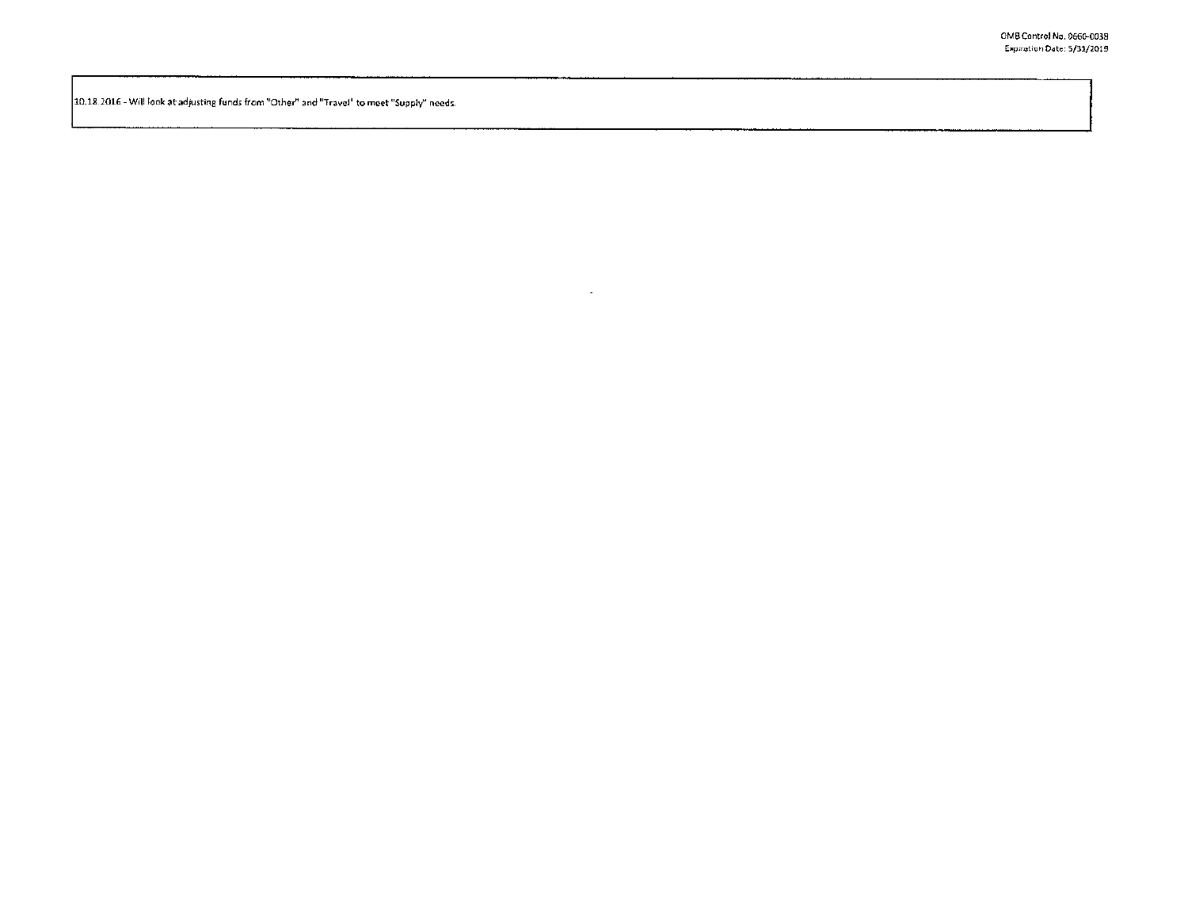10.18.2016 - Will look at adjusting funds from "Other" and "Travel" to meet "Supply" needs.

 $\sim$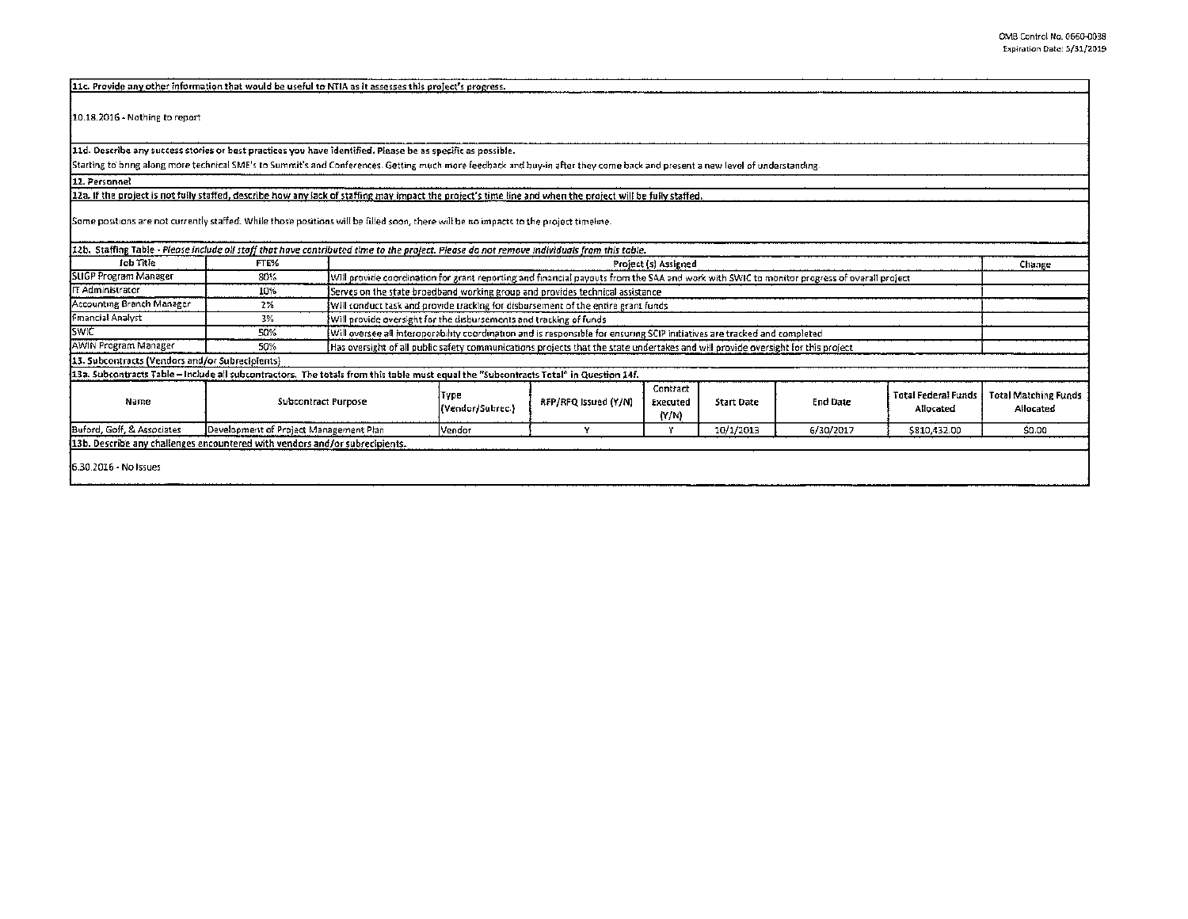| [11c. Provide any other information that would be useful to NTIA as it assesses this project's progress.                                                                       |                                                                                                             |                                                  |                                                                                                                                            |                      |                               |                   |                 |                                         |                                          |
|--------------------------------------------------------------------------------------------------------------------------------------------------------------------------------|-------------------------------------------------------------------------------------------------------------|--------------------------------------------------|--------------------------------------------------------------------------------------------------------------------------------------------|----------------------|-------------------------------|-------------------|-----------------|-----------------------------------------|------------------------------------------|
| $[10.18.2016 - \text{Nothing to report}]$                                                                                                                                      |                                                                                                             |                                                  |                                                                                                                                            |                      |                               |                   |                 |                                         |                                          |
|                                                                                                                                                                                | 11d. Describe any success stories or best practices you have identified. Please be as specific as possible. |                                                  |                                                                                                                                            |                      |                               |                   |                 |                                         |                                          |
| Starting to bring along more technical SME's to Summit's and Conferences. Getting much more feedback and buy-in after they come back and present a new level of understanding. |                                                                                                             |                                                  |                                                                                                                                            |                      |                               |                   |                 |                                         |                                          |
| 12. Personnel                                                                                                                                                                  |                                                                                                             |                                                  |                                                                                                                                            |                      |                               |                   |                 |                                         |                                          |
| 12a. If the project is not fully staffed, describe how any lack of staffing may impact the project's time line and when the project will be fully staffed.                     |                                                                                                             |                                                  |                                                                                                                                            |                      |                               |                   |                 |                                         |                                          |
| Some positions are not currently staffed. While those positions will be filled soon, there will be no impacts to the project timeline.                                         |                                                                                                             |                                                  |                                                                                                                                            |                      |                               |                   |                 |                                         |                                          |
| 12b. Staffing Table - Please include oil stoff that have contributed time to the project. Please do not remove individuals from this table.                                    |                                                                                                             |                                                  |                                                                                                                                            |                      |                               |                   |                 |                                         |                                          |
| <b>Job Title</b>                                                                                                                                                               | FTE%                                                                                                        | Project (s) Assigned<br>Change                   |                                                                                                                                            |                      |                               |                   |                 |                                         |                                          |
| SLIGP Program Manager                                                                                                                                                          | 80%                                                                                                         |                                                  | Will provide coordination for grant reporting and financial payouts from the SAA and work with SWIC to monitor progress of overall project |                      |                               |                   |                 |                                         |                                          |
| IT Administrator                                                                                                                                                               | 10%                                                                                                         |                                                  | Serves on the state broadband working group and provides technical assistance.                                                             |                      |                               |                   |                 |                                         |                                          |
| Accounting Branch Manager                                                                                                                                                      | 2%                                                                                                          |                                                  | Will conduct task and provide tracking for disbursement of the entire grant funds                                                          |                      |                               |                   |                 |                                         |                                          |
| Financial Analyst                                                                                                                                                              | 3%                                                                                                          |                                                  | Will provide oversight for the disbursements and tracking of funds                                                                         |                      |                               |                   |                 |                                         |                                          |
| <b>SWIC</b>                                                                                                                                                                    | 50%                                                                                                         |                                                  | (Will oversee all interoperability coordination and is responsible for ensuring SCIP initiatives are tracked and completed                 |                      |                               |                   |                 |                                         |                                          |
| AWIN Program Manager                                                                                                                                                           | 50%                                                                                                         |                                                  | Has oversight of all public safety communications projects that the state undertakes and will provide oversight for this project           |                      |                               |                   |                 |                                         |                                          |
| 13. Subcontracts (Vendors and/or Subrecipients)                                                                                                                                |                                                                                                             |                                                  |                                                                                                                                            |                      |                               |                   |                 |                                         |                                          |
| 13a. Subcontracts Table – Include all subcontractors. The totals from this table must equal the "Subcontracts Total" in Question 14f.                                          |                                                                                                             |                                                  |                                                                                                                                            |                      |                               |                   |                 |                                         |                                          |
| Name                                                                                                                                                                           | Type<br><b>Subcontract Purpose</b>                                                                          |                                                  | (Vendor/Subrec.)                                                                                                                           | RFP/RFQ Issued (Y/N) | Contract<br>Executed<br>(Y/N) | <b>Start Date</b> | <b>End Date</b> | <b>Total Federal Funds</b><br>Allocated | <b>Total Matching Funds</b><br>Allocated |
| Buford, Goff, & Associates                                                                                                                                                     |                                                                                                             | Development of Project Management Plan<br>Vendor |                                                                                                                                            | $\checkmark$         | ٧                             | 10/1/2013         | 6/30/2017       | \$810,432.00                            | \$0.00                                   |
| 13b. Describe any challenges encountered with vendors and/or subrecipients.                                                                                                    |                                                                                                             |                                                  |                                                                                                                                            |                      |                               |                   |                 |                                         |                                          |
| 16.30.2016 - No Issues                                                                                                                                                         |                                                                                                             |                                                  |                                                                                                                                            |                      |                               |                   |                 |                                         |                                          |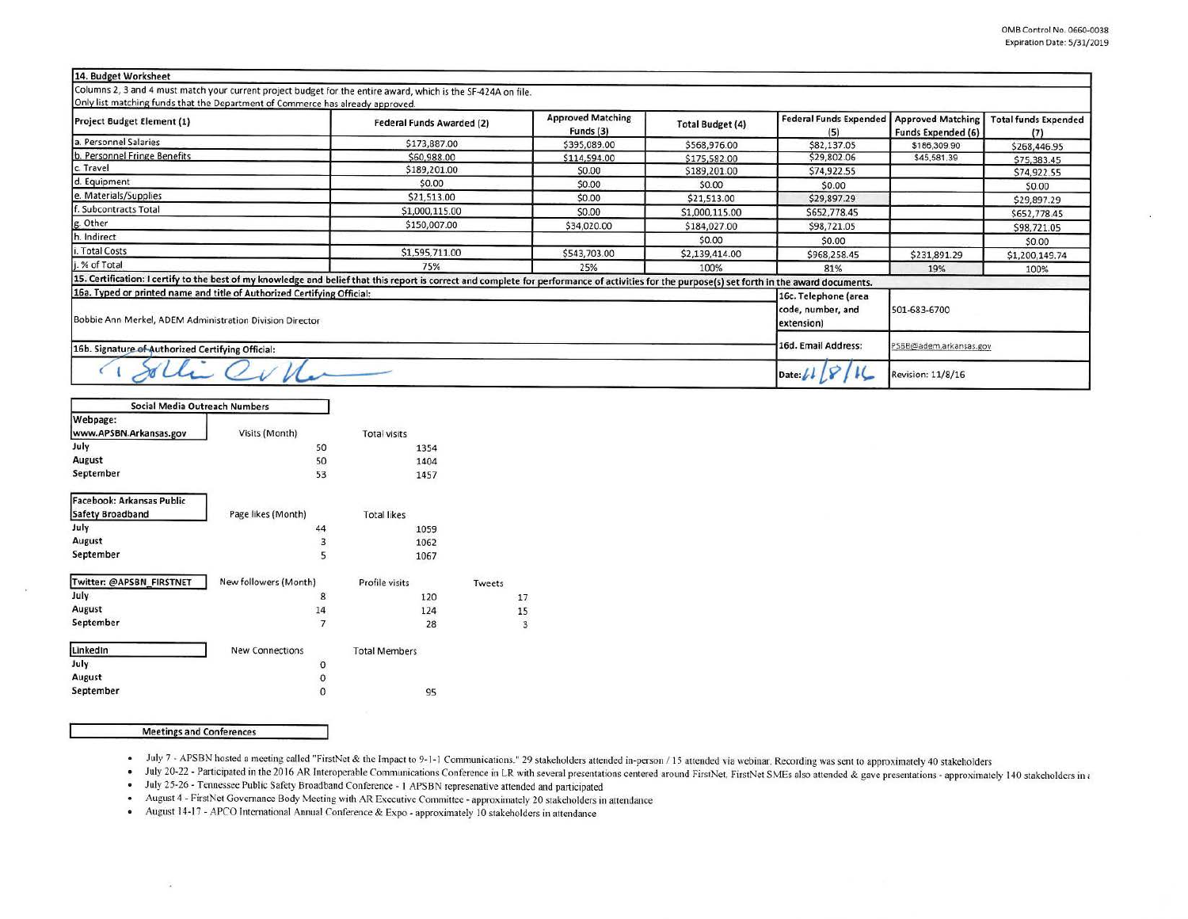## 14. Budget Worksheet

Columns 2, 3 and 4 must match your current project budget for the entire award, which is the SF-424A on file. Only list matching funds that the Denartment of Commerce has already annoyed

| Project Budget Element (1)                                              | <b>Federal Funds Awarded (2)</b>                                                                                                                                                                | <b>Approved Matching</b><br>Funds (3) | <b>Total Budget (4)</b> | <b>Federal Funds Expended</b><br>(5) | <b>Approved Matching</b><br><b>Funds Expended (6)</b> | <b>Total funds Expended</b><br>(7) |  |
|-------------------------------------------------------------------------|-------------------------------------------------------------------------------------------------------------------------------------------------------------------------------------------------|---------------------------------------|-------------------------|--------------------------------------|-------------------------------------------------------|------------------------------------|--|
| a. Personnel Salaries                                                   | \$173,887.00                                                                                                                                                                                    | \$395,089.00                          | \$568,976.00            | \$82,137.05                          | \$186,309.90                                          | \$268,446.95                       |  |
| b. Personnel Fringe Benefits                                            | \$60,988.00                                                                                                                                                                                     | \$114,594.00                          | \$175,582.00            | \$29,802.06                          | \$45,581.39                                           | \$75,383.45                        |  |
| c. Travel                                                               | \$189,201.00                                                                                                                                                                                    | \$0.00                                | \$189,201.00            | \$74,922.55                          |                                                       | \$74,922.55                        |  |
| d. Equipment                                                            | \$0.00                                                                                                                                                                                          | \$0.00                                | \$0.00                  | \$0.00                               |                                                       | \$0.00                             |  |
| e. Materials/Supplies                                                   | \$21,513.00                                                                                                                                                                                     | \$0.00                                | \$21,513.00             | \$29,897.29                          |                                                       | \$29,897.29                        |  |
| . Subcontracts Total                                                    | \$1,000,115.00                                                                                                                                                                                  | \$0.00                                | \$1,000,115.00          | \$652,778.45                         |                                                       | \$652,778.45                       |  |
| g. Other                                                                | \$150,007.00                                                                                                                                                                                    | \$34,020.00                           | \$184,027.00            | \$98,721.05                          |                                                       | \$98,721.05                        |  |
| h. Indirect                                                             |                                                                                                                                                                                                 |                                       | \$0.00                  | \$0.00                               |                                                       | \$0.00                             |  |
| i. Total Costs                                                          | \$1,595,711.00                                                                                                                                                                                  | \$543,703.00                          | \$2,139,414.00          | \$968,258.45                         | \$231,891.29                                          | \$1,200,149.74                     |  |
| j. % of Total                                                           | 75%                                                                                                                                                                                             | 25%                                   | 100%                    | 81%                                  | 19%                                                   | 100%                               |  |
|                                                                         | 15. Certification: I certify to the best of my knowledge and belief that this report is correct and complete for performance of activities for the purpose(s) set forth in the award documents. |                                       |                         |                                      |                                                       |                                    |  |
| 16a. Typed or printed name and title of Authorized Certifying Official: |                                                                                                                                                                                                 |                                       |                         | 16c. Telephone (area                 |                                                       |                                    |  |
| Bobbie Ann Merkel, ADEM Administration Division Director                |                                                                                                                                                                                                 |                                       |                         | code, number, and<br>extension)      | 501-683-6700                                          |                                    |  |
| 16b. Signature of Authorized Certifying Official:                       |                                                                                                                                                                                                 | 16d. Email Address:                   | PSBB@adem.arkansas.gov  |                                      |                                                       |                                    |  |
| $\sim$                                                                  |                                                                                                                                                                                                 |                                       |                         | Date: $\n  b$                        | <b>Revision: 11/8/16</b>                              |                                    |  |

| Social Media Outreach Numbers                        |                                      |                      |        |
|------------------------------------------------------|--------------------------------------|----------------------|--------|
| Webpage:<br>www.APSBN.Arkansas.gov                   | Visits (Month)                       | <b>Total visits</b>  |        |
| July                                                 | 50                                   | 1354                 |        |
| August                                               | 50                                   | 1404                 |        |
| September                                            | 53                                   | 1457                 |        |
| Facebook: Arkansas Public<br><b>Safety Broadband</b> | Page likes (Month)                   | <b>Total likes</b>   |        |
| July                                                 | 44                                   | 1059                 |        |
| August                                               | 3                                    | 1062                 |        |
| September                                            | 5                                    | 1067                 |        |
| Twitter: @APSBN_FIRSTNET                             | New followers (Month)                | Profile visits       | Tweets |
| July                                                 | 8                                    | 120                  |        |
| August                                               | 14                                   | 124                  |        |
| September                                            | $\overline{7}$                       | 28                   |        |
| LinkedIn                                             | <b>New Connections</b>               | <b>Total Members</b> |        |
| July                                                 | 0                                    |                      |        |
| August                                               | $\begin{matrix} 0 \\ 0 \end{matrix}$ |                      |        |
| September                                            |                                      | 95                   |        |
|                                                      |                                      |                      |        |

## **Meetings and Conferences**

• July 7 - APSBN hosted a meeting called "FirstNet & the Impact to 9-1-1 Communications." 29 stakeholders attended in-person / 15 attended via webinar. Recording was sent to approximately 40 stakeholders

17 15  $\overline{3}$ 

· July 20-22 - Participated in the 2016 AR Interoperable Communications Conference in LR with several presentations centered around FirstNet. FirstNet SMEs also attended & gave presentations - approximately 140 stakeholder

· July 25-26 - Tennessee Public Safety Broadband Conference - 1 APSBN represenative attended and participated

· August 4 - FirstNet Governance Body Meeting with AR Executive Committee - approximately 20 stakeholders in attendance

August 14-17 - APCO International Annual Conference & Expo - approximately 10 stakeholders in attendance